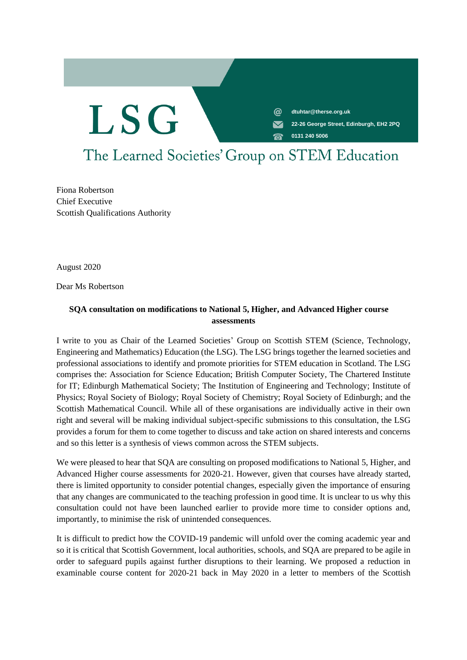ര **dtuhtar@therse.org.uk**

**22-26 George Street, Edinburgh, EH2 2PQ**

0131 240 5006 **0131 240 5006**

# The Learned Societies' Group on STEM Education

Fiona Robertson Chief Executive Scottish Qualifications Authority

**LSG** 

August 2020

Dear Ms Robertson

### **SQA consultation on modifications to National 5, Higher, and Advanced Higher course assessments**

I write to you as Chair of the Learned Societies' Group on Scottish STEM (Science, Technology, Engineering and Mathematics) Education (the LSG). The LSG brings together the learned societies and professional associations to identify and promote priorities for STEM education in Scotland. The LSG comprises the: Association for Science Education; British Computer Society, The Chartered Institute for IT; Edinburgh Mathematical Society; The Institution of Engineering and Technology; Institute of Physics; Royal Society of Biology; Royal Society of Chemistry; Royal Society of Edinburgh; and the Scottish Mathematical Council. While all of these organisations are individually active in their own right and several will be making individual subject-specific submissions to this consultation, the LSG provides a forum for them to come together to discuss and take action on shared interests and concerns and so this letter is a synthesis of views common across the STEM subjects.

We were pleased to hear that SQA are consulting on proposed modifications to National 5, Higher, and Advanced Higher course assessments for 2020-21. However, given that courses have already started, there is limited opportunity to consider potential changes, especially given the importance of ensuring that any changes are communicated to the teaching profession in good time. It is unclear to us why this consultation could not have been launched earlier to provide more time to consider options and, importantly, to minimise the risk of unintended consequences.

It is difficult to predict how the COVID-19 pandemic will unfold over the coming academic year and so it is critical that Scottish Government, local authorities, schools, and SQA are prepared to be agile in order to safeguard pupils against further disruptions to their learning. We proposed a reduction in examinable course content for 2020-21 back in May 2020 in a letter to members of the Scottish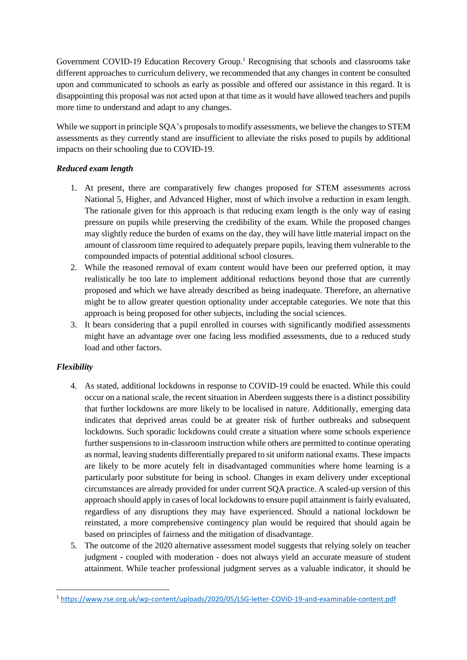Government COVID-19 Education Recovery Group.<sup>1</sup> Recognising that schools and classrooms take different approaches to curriculum delivery, we recommended that any changes in content be consulted upon and communicated to schools as early as possible and offered our assistance in this regard. It is disappointing this proposal was not acted upon at that time as it would have allowed teachers and pupils more time to understand and adapt to any changes.

While we support in principle SQA's proposals to modify assessments, we believe the changes to STEM assessments as they currently stand are insufficient to alleviate the risks posed to pupils by additional impacts on their schooling due to COVID-19.

#### *Reduced exam length*

- 1. At present, there are comparatively few changes proposed for STEM assessments across National 5, Higher, and Advanced Higher, most of which involve a reduction in exam length. The rationale given for this approach is that reducing exam length is the only way of easing pressure on pupils while preserving the credibility of the exam. While the proposed changes may slightly reduce the burden of exams on the day, they will have little material impact on the amount of classroom time required to adequately prepare pupils, leaving them vulnerable to the compounded impacts of potential additional school closures.
- 2. While the reasoned removal of exam content would have been our preferred option, it may realistically be too late to implement additional reductions beyond those that are currently proposed and which we have already described as being inadequate. Therefore, an alternative might be to allow greater question optionality under acceptable categories. We note that this approach is being proposed for other subjects, including the social sciences.
- 3. It bears considering that a pupil enrolled in courses with significantly modified assessments might have an advantage over one facing less modified assessments, due to a reduced study load and other factors.

## *Flexibility*

- 4. As stated, additional lockdowns in response to COVID-19 could be enacted. While this could occur on a national scale, the recent situation in Aberdeen suggests there is a distinct possibility that further lockdowns are more likely to be localised in nature. Additionally, emerging data indicates that deprived areas could be at greater risk of further outbreaks and subsequent lockdowns. Such sporadic lockdowns could create a situation where some schools experience further suspensions to in-classroom instruction while others are permitted to continue operating as normal, leaving students differentially prepared to sit uniform national exams. These impacts are likely to be more acutely felt in disadvantaged communities where home learning is a particularly poor substitute for being in school. Changes in exam delivery under exceptional circumstances are already provided for under current SQA practice. A scaled-up version of this approach should apply in cases of local lockdowns to ensure pupil attainment is fairly evaluated, regardless of any disruptions they may have experienced. Should a national lockdown be reinstated, a more comprehensive contingency plan would be required that should again be based on principles of fairness and the mitigation of disadvantage.
- 5. The outcome of the 2020 alternative assessment model suggests that relying solely on teacher judgment - coupled with moderation - does not always yield an accurate measure of student attainment. While teacher professional judgment serves as a valuable indicator, it should be

<sup>1</sup> <https://www.rse.org.uk/wp-content/uploads/2020/05/LSG-letter-COVID-19-and-examinable-content.pdf>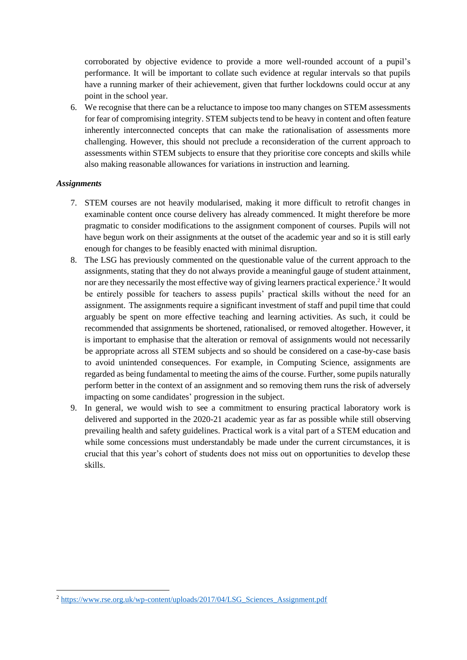corroborated by objective evidence to provide a more well-rounded account of a pupil's performance. It will be important to collate such evidence at regular intervals so that pupils have a running marker of their achievement, given that further lockdowns could occur at any point in the school year.

6. We recognise that there can be a reluctance to impose too many changes on STEM assessments for fear of compromising integrity. STEM subjects tend to be heavy in content and often feature inherently interconnected concepts that can make the rationalisation of assessments more challenging. However, this should not preclude a reconsideration of the current approach to assessments within STEM subjects to ensure that they prioritise core concepts and skills while also making reasonable allowances for variations in instruction and learning.

#### *Assignments*

- 7. STEM courses are not heavily modularised, making it more difficult to retrofit changes in examinable content once course delivery has already commenced. It might therefore be more pragmatic to consider modifications to the assignment component of courses. Pupils will not have begun work on their assignments at the outset of the academic year and so it is still early enough for changes to be feasibly enacted with minimal disruption.
- 8. The LSG has previously commented on the questionable value of the current approach to the assignments, stating that they do not always provide a meaningful gauge of student attainment, nor are they necessarily the most effective way of giving learners practical experience. 2 It would be entirely possible for teachers to assess pupils' practical skills without the need for an assignment. The assignments require a significant investment of staff and pupil time that could arguably be spent on more effective teaching and learning activities. As such, it could be recommended that assignments be shortened, rationalised, or removed altogether. However, it is important to emphasise that the alteration or removal of assignments would not necessarily be appropriate across all STEM subjects and so should be considered on a case-by-case basis to avoid unintended consequences. For example, in Computing Science, assignments are regarded as being fundamental to meeting the aims of the course. Further, some pupils naturally perform better in the context of an assignment and so removing them runs the risk of adversely impacting on some candidates' progression in the subject.
- 9. In general, we would wish to see a commitment to ensuring practical laboratory work is delivered and supported in the 2020-21 academic year as far as possible while still observing prevailing health and safety guidelines. Practical work is a vital part of a STEM education and while some concessions must understandably be made under the current circumstances, it is crucial that this year's cohort of students does not miss out on opportunities to develop these skills.

<sup>&</sup>lt;sup>2</sup> [https://www.rse.org.uk/wp-content/uploads/2017/04/LSG\\_Sciences\\_Assignment.pdf](https://www.rse.org.uk/wp-content/uploads/2017/04/LSG_Sciences_Assignment.pdf)